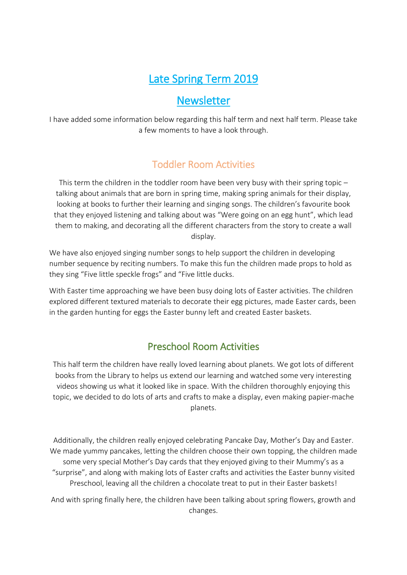# Late Spring Term 2019

### **Newsletter**

I have added some information below regarding this half term and next half term. Please take a few moments to have a look through.

### Toddler Room Activities

This term the children in the toddler room have been very busy with their spring topic – talking about animals that are born in spring time, making spring animals for their display, looking at books to further their learning and singing songs. The children's favourite book that they enjoyed listening and talking about was "Were going on an egg hunt", which lead them to making, and decorating all the different characters from the story to create a wall display.

We have also enjoyed singing number songs to help support the children in developing number sequence by reciting numbers. To make this fun the children made props to hold as they sing "Five little speckle frogs" and "Five little ducks.

With Easter time approaching we have been busy doing lots of Easter activities. The children explored different textured materials to decorate their egg pictures, made Easter cards, been in the garden hunting for eggs the Easter bunny left and created Easter baskets.

### Preschool Room Activities

This half term the children have really loved learning about planets. We got lots of different books from the Library to helps us extend our learning and watched some very interesting videos showing us what it looked like in space. With the children thoroughly enjoying this topic, we decided to do lots of arts and crafts to make a display, even making papier-mache planets.

Additionally, the children really enjoyed celebrating Pancake Day, Mother's Day and Easter. We made yummy pancakes, letting the children choose their own topping, the children made some very special Mother's Day cards that they enjoyed giving to their Mummy's as a "surprise", and along with making lots of Easter crafts and activities the Easter bunny visited Preschool, leaving all the children a chocolate treat to put in their Easter baskets!

And with spring finally here, the children have been talking about spring flowers, growth and changes.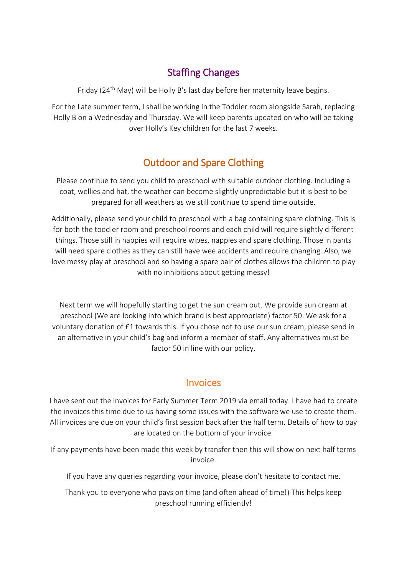### Staffing Changes

Friday (24<sup>th</sup> May) will be Holly B's last day before her maternity leave begins.

For the Late summer term, I shall be working in the Toddler room alongside Sarah, replacing Holly B on a Wednesday and Thursday. We will keep parents updated on who will be taking over Holly's Key children for the last 7 weeks.

## Outdoor and Spare Clothing

Please continue to send you child to preschool with suitable outdoor clothing. Including a coat, wellies and hat, the weather can become slightly unpredictable but it is best to be prepared for all weathers as we still continue to spend time outside.

Additionally, please send your child to preschool with a bag containing spare clothing. This is for both the toddler room and preschool rooms and each child will require slightly different things. Those still in nappies will require wipes, nappies and spare clothing. Those in pants will need spare clothes as they can still have wee accidents and require changing. Also, we love messy play at preschool and so having a spare pair of clothes allows the children to play with no inhibitions about getting messy!

Next term we will hopefully starting to get the sun cream out. We provide sun cream at preschool (We are looking into which brand is best appropriate) factor 50. We ask for a voluntary donation of £1 towards this. If you chose not to use our sun cream, please send in an alternative in your child's bag and inform a member of staff. Any alternatives must be factor 50 in line with our policy.

#### **Invoices**

I have sent out the invoices for Early Summer Term 2019 via email today. I have had to create the invoices this time due to us having some issues with the software we use to create them. All invoices are due on your child's first session back after the half term. Details of how to pay are located on the bottom of your invoice.

If any payments have been made this week by transfer then this will show on next half terms invoice.

If you have any queries regarding your invoice, please don't hesitate to contact me.

Thank you to everyone who pays on time (and often ahead of time!) This helps keep preschool running efficiently!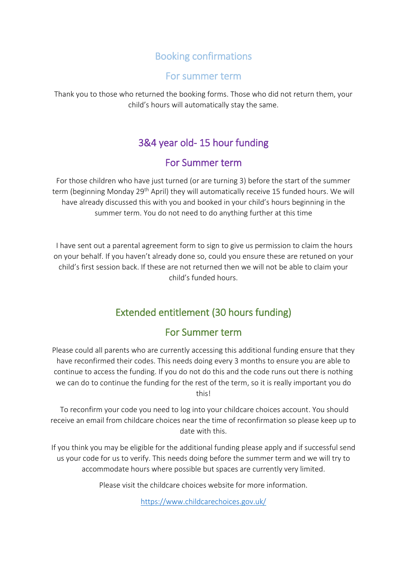### Booking confirmations

#### For summer term

Thank you to those who returned the booking forms. Those who did not return them, your child's hours will automatically stay the same.

### 3&4 year old- 15 hour funding

#### For Summer term

For those children who have just turned (or are turning 3) before the start of the summer term (beginning Monday 29<sup>th</sup> April) they will automatically receive 15 funded hours. We will have already discussed this with you and booked in your child's hours beginning in the summer term. You do not need to do anything further at this time

I have sent out a parental agreement form to sign to give us permission to claim the hours on your behalf. If you haven't already done so, could you ensure these are retuned on your child's first session back. If these are not returned then we will not be able to claim your child's funded hours.

### Extended entitlement (30 hours funding)

### For Summer term

Please could all parents who are currently accessing this additional funding ensure that they have reconfirmed their codes. This needs doing every 3 months to ensure you are able to continue to access the funding. If you do not do this and the code runs out there is nothing we can do to continue the funding for the rest of the term, so it is really important you do this!

To reconfirm your code you need to log into your childcare choices account. You should receive an email from childcare choices near the time of reconfirmation so please keep up to date with this.

If you think you may be eligible for the additional funding please apply and if successful send us your code for us to verify. This needs doing before the summer term and we will try to accommodate hours where possible but spaces are currently very limited.

Please visit the childcare choices website for more information.

<https://www.childcarechoices.gov.uk/>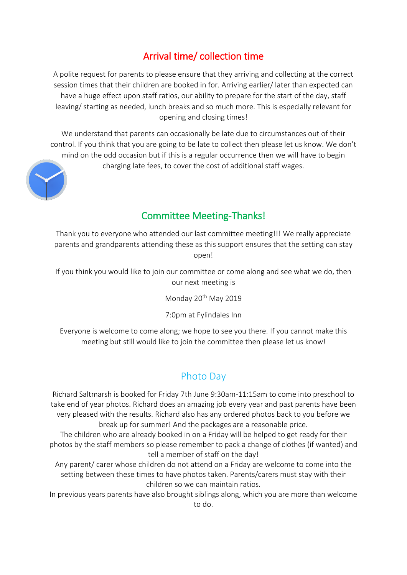### Arrival time/ collection time

A polite request for parents to please ensure that they arriving and collecting at the correct session times that their children are booked in for. Arriving earlier/ later than expected can have a huge effect upon staff ratios, our ability to prepare for the start of the day, staff leaving/ starting as needed, lunch breaks and so much more. This is especially relevant for opening and closing times!

We understand that parents can occasionally be late due to circumstances out of their control. If you think that you are going to be late to collect then please let us know. We don't mind on the odd occasion but if this is a regular occurrence then we will have to begin charging late fees, to cover the cost of additional staff wages.



### Committee Meeting-Thanks!

Thank you to everyone who attended our last committee meeting!!! We really appreciate parents and grandparents attending these as this support ensures that the setting can stay open!

If you think you would like to join our committee or come along and see what we do, then our next meeting is

Monday 20th May 2019

7:0pm at Fylindales Inn

Everyone is welcome to come along; we hope to see you there. If you cannot make this meeting but still would like to join the committee then please let us know!

### Photo Day

Richard Saltmarsh is booked for Friday 7th June 9:30am-11:15am to come into preschool to take end of year photos. Richard does an amazing job every year and past parents have been very pleased with the results. Richard also has any ordered photos back to you before we break up for summer! And the packages are a reasonable price.

The children who are already booked in on a Friday will be helped to get ready for their photos by the staff members so please remember to pack a change of clothes (if wanted) and tell a member of staff on the day!

Any parent/ carer whose children do not attend on a Friday are welcome to come into the setting between these times to have photos taken. Parents/carers must stay with their children so we can maintain ratios.

In previous years parents have also brought siblings along, which you are more than welcome to do.